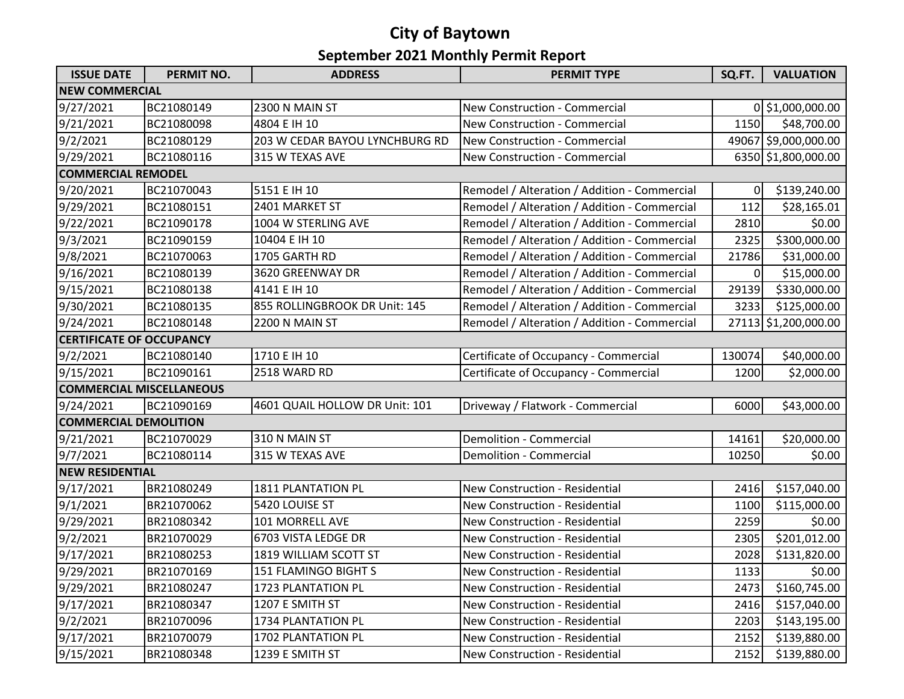## **September 2021 Monthly Permit Report City of Baytown**

| <b>ISSUE DATE</b>               | <b>PERMIT NO.</b> | <b>ADDRESS</b>                 | <b>PERMIT TYPE</b>                           | SQ.FT.         | <b>VALUATION</b>     |  |  |  |
|---------------------------------|-------------------|--------------------------------|----------------------------------------------|----------------|----------------------|--|--|--|
| <b>NEW COMMERCIAL</b>           |                   |                                |                                              |                |                      |  |  |  |
| 9/27/2021                       | BC21080149        | 2300 N MAIN ST                 | <b>New Construction - Commercial</b>         |                | 0 \$1,000,000.00     |  |  |  |
| 9/21/2021                       | BC21080098        | 4804 E IH 10                   | New Construction - Commercial                | 1150           | \$48,700.00          |  |  |  |
| 9/2/2021                        | BC21080129        | 203 W CEDAR BAYOU LYNCHBURG RD | New Construction - Commercial                |                | 49067 \$9,000,000.00 |  |  |  |
| 9/29/2021                       | BC21080116        | 315 W TEXAS AVE                | New Construction - Commercial                |                | 6350 \$1,800,000.00  |  |  |  |
| <b>COMMERCIAL REMODEL</b>       |                   |                                |                                              |                |                      |  |  |  |
| 9/20/2021                       | BC21070043        | 5151 E IH 10                   | Remodel / Alteration / Addition - Commercial | $\overline{0}$ | \$139,240.00         |  |  |  |
| 9/29/2021                       | BC21080151        | 2401 MARKET ST                 | Remodel / Alteration / Addition - Commercial | 112            | \$28,165.01          |  |  |  |
| 9/22/2021                       | BC21090178        | 1004 W STERLING AVE            | Remodel / Alteration / Addition - Commercial | 2810           | \$0.00               |  |  |  |
| 9/3/2021                        | BC21090159        | 10404 E IH 10                  | Remodel / Alteration / Addition - Commercial | 2325           | \$300,000.00         |  |  |  |
| 9/8/2021                        | BC21070063        | 1705 GARTH RD                  | Remodel / Alteration / Addition - Commercial | 21786          | \$31,000.00          |  |  |  |
| 9/16/2021                       | BC21080139        | 3620 GREENWAY DR               | Remodel / Alteration / Addition - Commercial | 01             | \$15,000.00          |  |  |  |
| 9/15/2021                       | BC21080138        | 4141 E IH 10                   | Remodel / Alteration / Addition - Commercial | 29139          | \$330,000.00         |  |  |  |
| 9/30/2021                       | BC21080135        | 855 ROLLINGBROOK DR Unit: 145  | Remodel / Alteration / Addition - Commercial | 3233           | \$125,000.00         |  |  |  |
| 9/24/2021                       | BC21080148        | 2200 N MAIN ST                 | Remodel / Alteration / Addition - Commercial |                | 27113 \$1,200,000.00 |  |  |  |
| <b>CERTIFICATE OF OCCUPANCY</b> |                   |                                |                                              |                |                      |  |  |  |
| 9/2/2021                        | BC21080140        | 1710 E IH 10                   | Certificate of Occupancy - Commercial        | 130074         | \$40,000.00          |  |  |  |
| 9/15/2021                       | BC21090161        | 2518 WARD RD                   | Certificate of Occupancy - Commercial        | 1200           | \$2,000.00           |  |  |  |
| <b>COMMERCIAL MISCELLANEOUS</b> |                   |                                |                                              |                |                      |  |  |  |
| 9/24/2021                       | BC21090169        | 4601 QUAIL HOLLOW DR Unit: 101 | Driveway / Flatwork - Commercial             | 6000           | \$43,000.00          |  |  |  |
| <b>COMMERCIAL DEMOLITION</b>    |                   |                                |                                              |                |                      |  |  |  |
| 9/21/2021                       | BC21070029        | 310 N MAIN ST                  | Demolition - Commercial                      | 14161          | \$20,000.00          |  |  |  |
| 9/7/2021                        | BC21080114        | 315 W TEXAS AVE                | Demolition - Commercial                      | 10250          | \$0.00               |  |  |  |
| <b>NEW RESIDENTIAL</b>          |                   |                                |                                              |                |                      |  |  |  |
| 9/17/2021                       | BR21080249        | 1811 PLANTATION PL             | New Construction - Residential               | 2416           | \$157,040.00         |  |  |  |
| 9/1/2021                        | BR21070062        | 5420 LOUISE ST                 | New Construction - Residential               | 1100           | \$115,000.00         |  |  |  |
| 9/29/2021                       | BR21080342        | 101 MORRELL AVE                | New Construction - Residential               | 2259           | \$0.00               |  |  |  |
| 9/2/2021                        | BR21070029        | 6703 VISTA LEDGE DR            | New Construction - Residential               | 2305           | \$201,012.00         |  |  |  |
| 9/17/2021                       | BR21080253        | 1819 WILLIAM SCOTT ST          | New Construction - Residential               | 2028           | \$131,820.00         |  |  |  |
| 9/29/2021                       | BR21070169        | 151 FLAMINGO BIGHT S           | New Construction - Residential               | 1133           | \$0.00               |  |  |  |
| 9/29/2021                       | BR21080247        | 1723 PLANTATION PL             | New Construction - Residential               | 2473           | \$160,745.00         |  |  |  |
| 9/17/2021                       | BR21080347        | 1207 E SMITH ST                | New Construction - Residential               | 2416           | \$157,040.00         |  |  |  |
| 9/2/2021                        | BR21070096        | 1734 PLANTATION PL             | New Construction - Residential               | 2203           | \$143,195.00         |  |  |  |
| 9/17/2021                       | BR21070079        | 1702 PLANTATION PL             | New Construction - Residential               | 2152           | \$139,880.00         |  |  |  |
| 9/15/2021                       | BR21080348        | 1239 E SMITH ST                | New Construction - Residential               | 2152           | \$139,880.00         |  |  |  |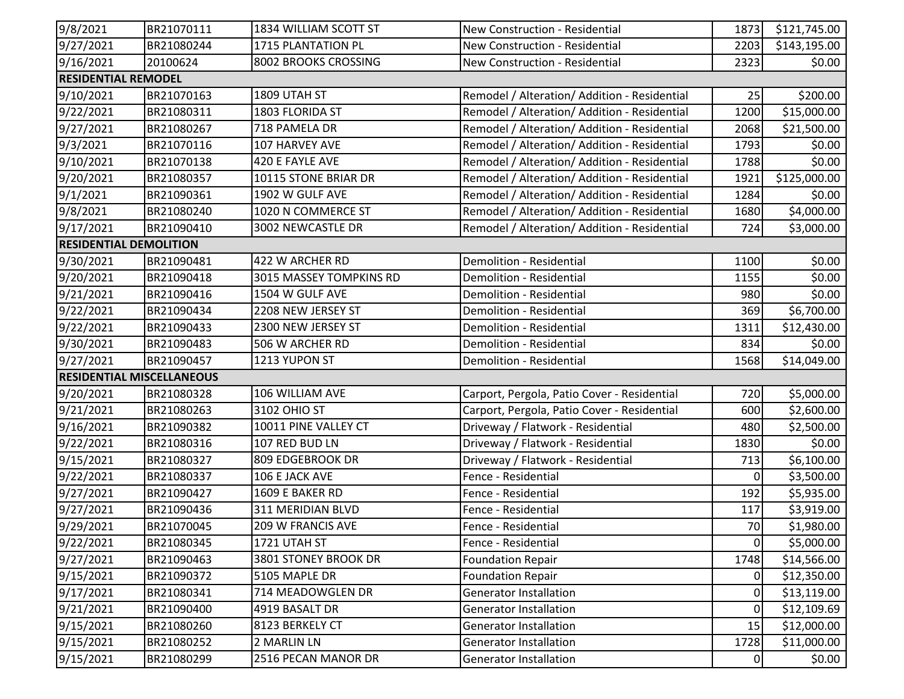| 9/8/2021                      | BR21070111                       | 1834 WILLIAM SCOTT ST    | New Construction - Residential               | 1873           | \$121,745.00 |  |  |  |
|-------------------------------|----------------------------------|--------------------------|----------------------------------------------|----------------|--------------|--|--|--|
| 9/27/2021                     | BR21080244                       | 1715 PLANTATION PL       | New Construction - Residential               | 2203           | \$143,195.00 |  |  |  |
| 9/16/2021                     | 20100624                         | 8002 BROOKS CROSSING     | New Construction - Residential               | 2323           | \$0.00       |  |  |  |
| <b>RESIDENTIAL REMODEL</b>    |                                  |                          |                                              |                |              |  |  |  |
| 9/10/2021                     | BR21070163                       | 1809 UTAH ST             | Remodel / Alteration/ Addition - Residential | 25             | \$200.00     |  |  |  |
| 9/22/2021                     | BR21080311                       | 1803 FLORIDA ST          | Remodel / Alteration/ Addition - Residential | 1200           | \$15,000.00  |  |  |  |
| 9/27/2021                     | BR21080267                       | 718 PAMELA DR            | Remodel / Alteration/ Addition - Residential | 2068           | \$21,500.00  |  |  |  |
| 9/3/2021                      | BR21070116                       | 107 HARVEY AVE           | Remodel / Alteration/ Addition - Residential | 1793           | \$0.00       |  |  |  |
| 9/10/2021                     | BR21070138                       | 420 E FAYLE AVE          | Remodel / Alteration/ Addition - Residential | 1788           | \$0.00       |  |  |  |
| 9/20/2021                     | BR21080357                       | 10115 STONE BRIAR DR     | Remodel / Alteration/ Addition - Residential | 1921           | \$125,000.00 |  |  |  |
| 9/1/2021                      | BR21090361                       | 1902 W GULF AVE          | Remodel / Alteration/ Addition - Residential | 1284           | \$0.00       |  |  |  |
| 9/8/2021                      | BR21080240                       | 1020 N COMMERCE ST       | Remodel / Alteration/ Addition - Residential | 1680           | \$4,000.00   |  |  |  |
| 9/17/2021                     | BR21090410                       | 3002 NEWCASTLE DR        | Remodel / Alteration/ Addition - Residential | 724            | \$3,000.00   |  |  |  |
| <b>RESIDENTIAL DEMOLITION</b> |                                  |                          |                                              |                |              |  |  |  |
| 9/30/2021                     | BR21090481                       | 422 W ARCHER RD          | Demolition - Residential                     | 1100           | \$0.00       |  |  |  |
| 9/20/2021                     | BR21090418                       | 3015 MASSEY TOMPKINS RD  | Demolition - Residential                     | 1155           | \$0.00       |  |  |  |
| 9/21/2021                     | BR21090416                       | 1504 W GULF AVE          | Demolition - Residential                     | 980            | \$0.00       |  |  |  |
| 9/22/2021                     | BR21090434                       | 2208 NEW JERSEY ST       | Demolition - Residential                     | 369            | \$6,700.00   |  |  |  |
| 9/22/2021                     | BR21090433                       | 2300 NEW JERSEY ST       | Demolition - Residential                     | 1311           | \$12,430.00  |  |  |  |
| 9/30/2021                     | BR21090483                       | 506 W ARCHER RD          | <b>Demolition - Residential</b>              | 834            | \$0.00       |  |  |  |
| 9/27/2021                     | BR21090457                       | 1213 YUPON ST            | Demolition - Residential                     | 1568           | \$14,049.00  |  |  |  |
|                               | <b>RESIDENTIAL MISCELLANEOUS</b> |                          |                                              |                |              |  |  |  |
| 9/20/2021                     | BR21080328                       | 106 WILLIAM AVE          | Carport, Pergola, Patio Cover - Residential  | 720            | \$5,000.00   |  |  |  |
| 9/21/2021                     | BR21080263                       | 3102 OHIO ST             | Carport, Pergola, Patio Cover - Residential  | 600            | \$2,600.00   |  |  |  |
| 9/16/2021                     | BR21090382                       | 10011 PINE VALLEY CT     | Driveway / Flatwork - Residential            | 480            | \$2,500.00   |  |  |  |
| 9/22/2021                     | BR21080316                       | 107 RED BUD LN           | Driveway / Flatwork - Residential            | 1830           | \$0.00       |  |  |  |
| 9/15/2021                     | BR21080327                       | 809 EDGEBROOK DR         | Driveway / Flatwork - Residential            | 713            | \$6,100.00   |  |  |  |
| 9/22/2021                     | BR21080337                       | 106 E JACK AVE           | Fence - Residential                          | $\overline{0}$ | \$3,500.00   |  |  |  |
| 9/27/2021                     | BR21090427                       | 1609 E BAKER RD          | Fence - Residential                          | 192            | \$5,935.00   |  |  |  |
| 9/27/2021                     | BR21090436                       | 311 MERIDIAN BLVD        | Fence - Residential                          | 117            | \$3,919.00   |  |  |  |
| 9/29/2021                     | BR21070045                       | <b>209 W FRANCIS AVE</b> | Fence - Residential                          | 70             | \$1,980.00   |  |  |  |
| 9/22/2021                     | BR21080345                       | 1721 UTAH ST             | Fence - Residential                          | $\overline{0}$ | \$5,000.00   |  |  |  |
| 9/27/2021                     | BR21090463                       | 3801 STONEY BROOK DR     | <b>Foundation Repair</b>                     | 1748           | \$14,566.00  |  |  |  |
| 9/15/2021                     | BR21090372                       | 5105 MAPLE DR            | <b>Foundation Repair</b>                     | $\overline{0}$ | \$12,350.00  |  |  |  |
| 9/17/2021                     | BR21080341                       | 714 MEADOWGLEN DR        | <b>Generator Installation</b>                | $\overline{0}$ | \$13,119.00  |  |  |  |
| 9/21/2021                     | BR21090400                       | 4919 BASALT DR           | <b>Generator Installation</b>                | $\Omega$       | \$12,109.69  |  |  |  |
| 9/15/2021                     | BR21080260                       | 8123 BERKELY CT          | <b>Generator Installation</b>                | 15             | \$12,000.00  |  |  |  |
| 9/15/2021                     | BR21080252                       | 2 MARLIN LN              | Generator Installation                       | 1728           | \$11,000.00  |  |  |  |
| 9/15/2021                     | BR21080299                       | 2516 PECAN MANOR DR      | Generator Installation                       | 0              | \$0.00       |  |  |  |